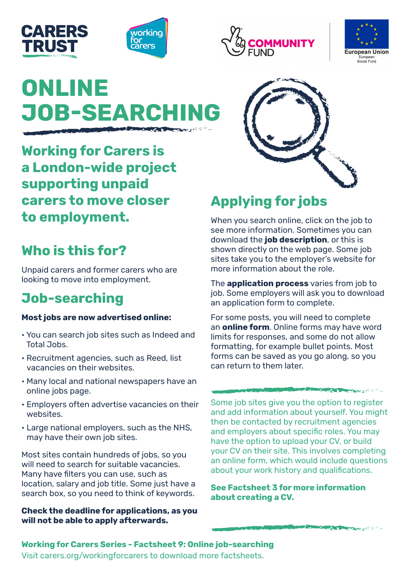







# **ONLINE JOB-SEARCHING**

**Working for Carers is a London-wide project supporting unpaid carers to move closer to employment.** 

# **Who is this for?**

Unpaid carers and former carers who are looking to move into employment.

# **Job-searching**

#### **Most jobs are now advertised online:**

- You can search job sites such as Indeed and Total Jobs.
- Recruitment agencies, such as Reed, list vacancies on their websites.
- Many local and national newspapers have an online jobs page.
- Employers often advertise vacancies on their websites.
- Large national employers, such as the NHS, may have their own job sites.

Most sites contain hundreds of jobs, so you will need to search for suitable vacancies. Many have filters you can use, such as location, salary and job title. Some just have a search box, so you need to think of keywords.

**Check the deadline for applications, as you will not be able to apply afterwards.**



# **Applying for jobs**

When you search online, click on the job to see more information. Sometimes you can download the **job description**, or this is shown directly on the web page. Some job sites take you to the employer's website for more information about the role.

The **application process** varies from job to job. Some employers will ask you to download an application form to complete.

For some posts, you will need to complete an **online form**. Online forms may have word limits for responses, and some do not allow formatting, for example bullet points. Most forms can be saved as you go along, so you can return to them later.

#### **Constitution of the Constitution of the Constitution of the Constitution of the Constitution of the Constitution of the Constitution of the Constitution of the Constitution of the Constitution of the Constitution of the C**

Some job sites give you the option to register and add information about yourself. You might then be contacted by recruitment agencies and employers about specific roles. You may have the option to upload your CV, or build your CV on their site. This involves completing an online form, which would include questions about your work history and qualifications.

**See Factsheet 3 for more information about creating a CV.**

August 19

# **Working for Carers Series - Factsheet 9: Online job-searching**

Visit carers.org/workingforcarers to download more factsheets.